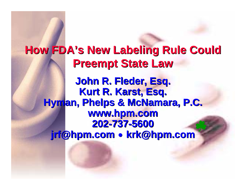#### **How FDA's New Labeling Rule Could Hyman, Phelps & McNamara, P.C. Hyman, Phelps & McNamara, P.C. jrf@hpm.com jrf@hpm.com Preempt State Law Preempt State Law John R. John R. Fleder, Esq.** Kurt R. Karst, Esq. **www.hpm.com www.hpm.com 202 -737 -5600**  $\bullet$ **krk@hpm.com krk@hpm.com**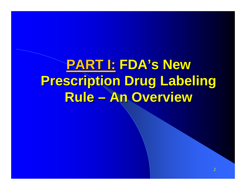**PART I: PART I: FDA's New FDA's New Prescription Drug Labeling Prescription Drug Labeling Rule – An Overview An Overview**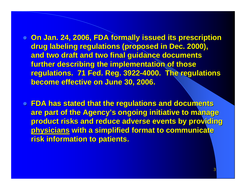- **On Jan. 24, 2006, FDA formally issued its prescription drug labeling regulations (proposed in Dec. 2000), and two draft and two final guidance documents and two draft and two final guidance documents**  further describing the implementation of those **regulations. 71 Fed. Reg. 3922-4000. The regulations become effective on June 30, 2006. become effective on June 30, 2006.**
- **FDA has stated that the regulations and documents are part of the Agency's ongoing initiative to manage product risks and reduce adverse events by providing physicians with a simplified format to communicate risk information to patients. risk information to patients.**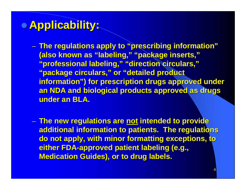# z **Applicability: Applicability:**

– **The regulations apply to "prescribing information" The regulations apply to "prescribing information" (also known as "labeling," "package inserts," (also known as "labeling," "package inserts," "professional labeling," "direction circulars," "professional labeling," "direction circulars," "package circulars," or "detailed product "package circulars," or "detailed product**  information") for prescription drugs approved under **an NDA and biological products approved as drugs under an BLA.** 

– **The new regulations are The new regulations are not intended to provide intended to provide additional information to patients. The regulations do not apply, with minor formatting exceptions, to either FDA either FDA-approved patient labeling (e.g., approved patient labeling (e.g., Medication Guides), or to drug labels.**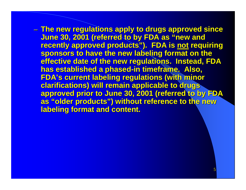– **The new regulations apply to drugs approved since The new regulations apply to drugs approved since June 30, 2001 (referred to by FDA as "new and June 30, 2001 (referred to by FDA as "new and recently approved products"). FDA is not requiring** sponsors to have the new labeling format on the **effective date of the new regulations. Instead, FDA has established a phased has established a phased -in timeframe. Also, in timeframe. Also, FDA's current labeling regulations (with minor FDA's current labeling regulations (with minor clarifications) will remain applicable to drugs clarifications) will remain applicable to drugs approved prior to June 30, 2001 (referred to by FDA approved prior to June 30, 2001 (referred to by FDA as "older products") without reference to the new labeling format and content.**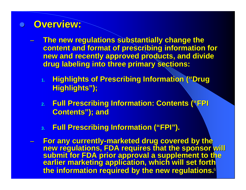### z **Overview: Overview:**

- **The new regulations substantially change the content and format of prescribing information for new and recently approved products, and divide new and recently approved products, and divide drug labeling into three primary sections: drug labeling into three primary sections:**
	- **1. Highlights of Prescribing Information ("Drug Highlights of Prescribing Information ("Drug Highlights");**
	- **2. Full Prescribing Information: Contents ("FPI Full Prescribing Information: Contents ("FPI**  Contents"); and
	- **3. Full Prescribing Information ("FPI"). Full Prescribing Information ("FPI").**
- 6 –For any currently-marketed drug covered by the<br>new regulations, FDA requires that the sponsor will<br>submit for FDA prior approval a supplement to the<br>earlier marketing application, which will set forth **the information required by the new regulations. the information required by the new regulations.**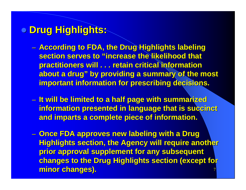# **• Drug Highlights:**

- **According to FDA, the Drug Highlights labeling section serves to "increase the likelihood that practitioners will . . . retain critical information** about a drug" by providing a summary of the most **important information for prescribing decisions.**
- –**I**t will be limited to a half page with summarized **information presented in language that is succinct and imparts a complete piece of information. and imparts a complete piece of information.**
- 7–– Once FDA approves new labeling with a Drug **Highlights section, the Agency will require another prior approval supplement for any subsequent changes to the Drug Highlights section (except for minor changes).**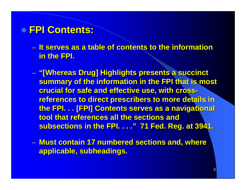## z **FPI Contents: FPI Contents:**

- $-$  It serves as a table of contents to the information **in the FPI. in the FPI.**
- – **"[Whereas Drug] Highlights presents a succinct "[Whereas Drug] Highlights presents a succinct summary of the information in the FPI that is most crucial for safe and effective use, with cross crucial for safe and effective use, with crossreferences to direct prescribers to more details in the FPI. . . [FPI] Contents serves as a navigational tool that references all the sections and subsections in the FPI. . . ." 71 Fed. Reg. at 3941. subsections in the FPI. . . ." 71 Fed. Reg. at 3941.**
- –**– Must contain 17 numbered sections and, where applicable, subheadings. applicable, subheadings.**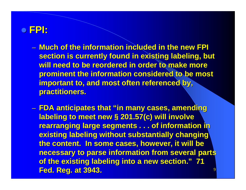## z **FPI:**

– **Much of the information included in the new FPI Much of the information included in the new FPI section is currently found in existing labeling, but** will need to be reordered in order to make more **prominent the information considered to be most** important to, and most often referenced by, **practitioners. practitioners.** 

9 **FDA anticipates that "in many cases, amending FDA anticipates that "in many cases, amending labeling to meet new § 201.57(c) will involve rearranging large segments . . . of information in existing labeling without substantially changing** the content. In some cases, however, it will be **necessary to parse information from several parts** of the existing labeling into a new section." 71 **Fed. Reg. at 3943. Fed. Reg. at 3943.**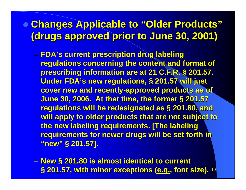# **• Changes Applicable to "Older Products" (drugs approved prior to June 30, 2001) (drugs approved prior to June 30, 2001)**

- **FDA's current prescription drug labeling FDA's current prescription drug labeling regulations concerning the content and format of prescribing information are at 21 C.F.R. § 201.57. Under FDA's new regulations, § 201.57 will just cover new and recently-approved products as of June 30, 2006. At that time, the former § 201.57 regulations will be redesignated as § 201.80, and will apply to older products that are not subject to the new labeling requirements. [The labeling \ requirements for newer drugs will be set forth in "new" § 201.57]. "new" § 201.57].**
- 10 –**New § 201.80 is almost identical to current § 201.57, with minor exceptions ( § 201.57, with minor exceptions (e.g., font size). , font size).**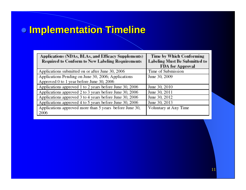## $\bullet$  **Implementation Timeline**

| Applications (NDAs, BLAs, and Efficacy Supplements)     | Time by Which Conforming             |
|---------------------------------------------------------|--------------------------------------|
| <b>Required to Conform to New Labeling Requirements</b> | <b>Labeling Must Be Submitted to</b> |
|                                                         | <b>FDA</b> for Approval              |
| Applications submitted on or after June 30, 2006        | Time of Submission                   |
| Applications Pending on June 30, 2006; Applications     | June 30, 2009                        |
| Approved 0 to 1 year before June 30, 2006               |                                      |
| Applications approved 1 to 2 years before June 30, 2006 | June 30, 2010                        |
| Applications approved 2 to 3 years before June 30, 2006 | June 30, 2011                        |
| Applications approved 3 to 4 years before June 30, 2006 | June 30, 2012                        |
| Applications approved 4 to 5 years before June 30, 2006 | June 30, 2013                        |
| Applications approved more than 5 years before June 30, | Voluntary at Any Time                |
| 2006                                                    |                                      |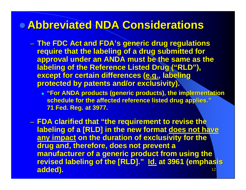# **• Abbreviated NDA Considerations**

- – **The FDC Act and FDA's generic drug regulations The FDC Act and FDA's generic drug regulations require that the labeling of a drug submitted for approval under an ANDA must be the same as the labeling of the Reference Listed Drug ("RLD"), except for certain differences (e.g., labeling protected by patents and/or exclusivity).** 
	- z **"For ANDA products ( "For ANDA products (generic products), eneric products), the implementation plementation**   $\bf{schedule}$  for the affected reference listed drug applies." **71 Fed. Reg. at 3977. 71 Fed. Reg. at 3977.**
- 12–**FDA clarified that "the requirement to revise the labeling of a [RLD] in the new format does not have any impact on the duration of exclusivity for the** drug and, therefore, does not prevent a **manufacturer of a generic product from using the revised labeling of the [RLD]." Id. at 3961 (emphasis added). added).**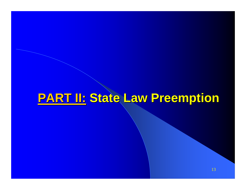# **PART II: PART II: State Law Preemption State Law Preemption**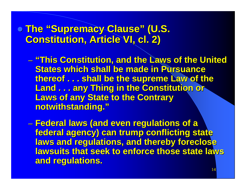**• The "Supremacy Clause" (U.S. Constitution, Article VI, cl. 2)** 

- – **"This Constitution, and the Laws of the United "This Constitution, and the Laws of the United States which shall be made in Pursuance thereof thereof . . . shall be the supreme Law of the . . . shall be the supreme Law of the Land . . . any Thing in the Constitution or Laws of any State to the Contrary notwithstanding." notwithstanding."**
- **Federal laws (and even regulations of a Federal laws (and even regulations of a federal agency) can trump conflicting state federal agency) can trump conflicting state laws and regulations, and thereby foreclose lawsuits that seek to enforce those state laws and regulations. and regulations.**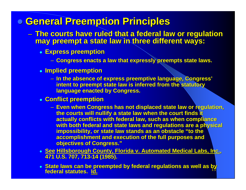## z **General Preemption Principles General Preemption Principles**

- – **The courts have ruled that a federal law or regulation The courts have ruled that a federal law or regulation may preempt a state law in three different ways: may preempt a state law in three different ways:**
	- z **Express preemption Express preemption**
		- **Congress enacts a law that expressly preempts state laws. Congress enacts a law that expressly preempts state laws.**
	- z **Implied preemption Implied preemption**
		- **In the absence of express preemptive language, Congress' In the absence of express preemptive language, Congress' intent to preempt state law is inferred from the statutory language enacted by Congress.**
	- z **Conflict preemption Conflict preemption**
		- **Even when Congress has not displaced state law or regulation, Even when Congress has not displaced state law or regulation,**  the courts will nullify a state law when the court finds it **actually conflicts with federal law, such as when compliance** with both federal and state laws and regulations are a physical **impossibility, or state law stands as an obstacle "to the accomplishment and execution of the full purposes and objectives of Congress."**
	- z **See Hillsborough C Hillsborough County, Florida v. Automated Medical Labs, Inc. ounty, Florida v. Automated Medical Labs, Inc., 471 U.S. 707, 713 471 U.S. 707, 713-14 (1985). 14 (1985).**
	- 15z **State laws can be preempted by federal regulations as well as by State laws can be preempted by federal regulations as well as by federal statutes. federal statutes. Id.**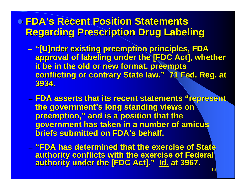## **• FDA's Recent Position Statements Regarding Prescription Drug Labeling Regarding Prescription Drug Labeling**

- **"[U]nder existing preemption principles, FDA existing preemption principles, FDA approval of labeling under the [FDC Act], whether it be in the old or new format, preempts it be in the old or new format, preempts conflicting or contrary State law." 71 Fed. Reg. at 3934.**
- **FDA asserts that its recent statements "represent, the government's long standing views on preemption," and is a position that the government has taken in a number of amicus government has taken in a number of amicus briefs submitted on FDA's behalf.**
- **"FDA has determined that the exercise of State authority conflicts with the exercise of Federal authority conflicts with the exercise of Federal authority under the [FDC Act]." authority under the [FDC Act]." Id. at 3967. at 3967.**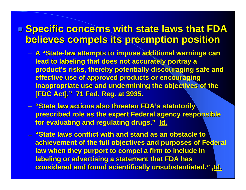## **• Specific concerns with state laws that FDA believes compels its preemption position believes compels its preemption position**

- **A "State A "State-law attempts to impose additional warnings can law attempts to impose additional warnings can lead to labeling that does not accurately portray a product's risks, thereby potentially discouraging safe and effective use of approved products or encouraging inappropriate use and undermining the objectives of the [FDC Act]." 71 Fed. Reg. at 3935. [FDC Act]." 71 Fed. Reg. at 3935.**
- **"State law actions also threaten FDA's statutorily\ prescribed role as the expert Federal agency responsible** for evaluating and regulating drugs." **Id.**
- 17**considered and found scientifically unsubstantiated." considered and found scientifically unsubstantiated." Id.**– **"State laws conflict with and stand as an obstacle to "State laws conflict with and stand as an obstacle to achievement of the full objectives and purposes of Federal law when they purport to compel a firm to include in labeling or advertising a statement that FDA has**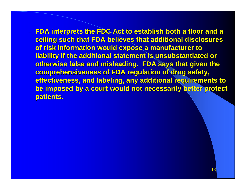**FDA interprets the FDC Act to establish both a floor and a floor ceiling such that FDA believes that additional disclosures of risk information would expose a manufacturer to liability if the additional statement is unsubstantiated or otherwise false and misleading. FDA says that given the comprehensiveness of FDA regulation of drug safety, effectiveness, and labeling, any additional requirements to be imposed by a court would not necessarily better protect patients.**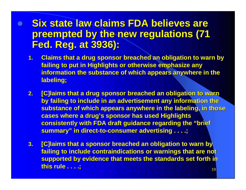#### $\bullet$ **Six state law claims FDA believes are preempted by the new regulations (71 Fed. Reg. at 3936): Fed. Reg. at 3936):**

- **1.Claims that a drug sponsor breached an obligation to warn by failing to put in Highlights or otherwise emphasize any** information the substance of which appears anywhere in the labeling;
- **2.[C]laims that a drug sponsor breached an obligation to warn by failing to include in an advertisement any information the substance of which appears anywhere in the labeling, in those cases where a cases where a drug's sponsor has used Highlights drug's sponsor has used Highlights consistently with FDA draft guidance regarding the "brief consistently with FDA draft guidance regarding the "brief summary" in direct-to-consumer advertising . . . .;**
- **3. [C]laims that a sponsor breached an obligation to warn by failing to include contraindications or warnings that are not supported by evidence that meets the standards set forth in this rule . . . .;**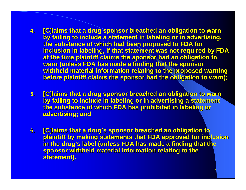- **4.[C]laims that a drug sponsor breached an obligation to warn by failing to include a statement in labeling or in advertising, the substance of which had been proposed to FDA for inclusion in labeling, if that statement was not required by FDA at the time plaintiff claims the sponsor had an obligation to warn (unless FDA has made a finding that the sponsor withheld m withheld material information re information relating to the proposed warning lating to the proposed warning before plaintiff claims the sponsor had the obligation to warn);**
- **5. IC]laims that a drug sponsor breached an obligation to warn by failing to include in labeling or in advertising a statement the substance of which FDA has prohibited in labeling or advertising; and**
- **6. IC]laims that a drug's sponsor breached an obligation to plaintiff by making statements that FDA approved for inclusion in the drug's label (unless FDA has made a finding that the sponsor withheld material information relating to the statement). statement).**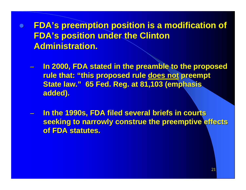$\bullet$  **FDA's preemption position is a modification of FDA's preemption position is a modification of FDA's position under the Clinton Administration. Administration.**

- –**In 2000, FDA stated in the preamble to the proposed rule that: "this proposed rule does not preempt State law." 65 Fed. Reg. at 81,103 (emphasis) added). added).**
- –**In the 1990s, FDA filed several briefs in courts seeking to narrowly construe the preemptive effects of FDA statutes. of FDA statutes.**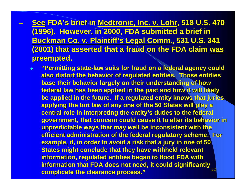- –**<u>See</u> FDA's brief in <u>Medtronic, Inc. v. Lohr,</u> 518 U.S. 470 , 518 U.S. 470 , 518 U.S. 470**  $\pm$ **(1996). However, in 2000, FDA submitted a brief in (1996). However, in 2000, FDA submitted a brief in Buckman Buckman Co. v. Plaintiff's Legal Comm. Co. v. Plaintiff's Legal Comm., 531 U.S. 341 , 531 U.S. 341 (2001) that asserted that a fraud on the FDA claim was preempted. preempted.**
	- 22 $\bullet$  **"Permitting state "Permitting state -law suits for fraud on a federal agency could law suits for fraud on a federal agency could also distort the behavior of re also distort the behavior of regulated entities. Those entities gulated entities. Those entities base their behavior largely on their understanding of how federal law has been applied in the past and how it will likely be applied in the future. If a regulated entity knows that juries applying the tort law of any one of the 50 States will play a** <u>central role in interpreting the entity's duties to the federal</u> **government, that concern could cause it to alter its behavior in unpredictable ways that may we unpredictable ways that may well be incon ll be incon sistent with the istent with the efficient administration of the federal regulatory scheme. For example, if, in order to avoid a risk that a jury in one of 50 States might conclude that they have withheld relevant information, regulated entities began to flood FDA with** information that FDA does not need, it could significantly  $\overline{\phantom{a}}$ **complicate the clearance process." complicate the clearance process."**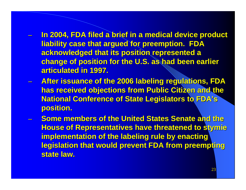- –**In 2004, FDA filed a brief in a medical device product liability case that argued for preemption. FDA liability case that argued for preemption. FDA acknowledged that its position represented a acknowledged that its position represented a change of position for the U.S. as had been earlier articulated in 1997.**
- –**After issuance of the 2006 labeling regulations, FDA has received objections from Public Citizen and the National Conference of State Legislators to FDA's position. position.**
- –**Some members of the United States Senate and the House of Representatives have threatened to stymie implementation of the labeling rule by enacting legislation that would prevent FDA from preempting state law. state law.**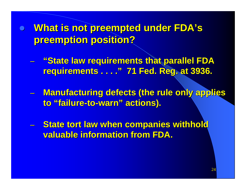**• What is not preempted under FDA's preemption position? preemption position?**

 **"State law requirements that parallel FDA "State law requirements that parallel FDA requirements . . . ." 71 Fed. Reg. at 3936. requirements . . . ." 71 Fed. Reg. at 3936.** 

**Manufacturing defects (the rule only applies to "failure to "failure-to-warn" actions). warn" actions).**

**\_ State tort law when companies withhold valuable information from FDA. valuable information from FDA.**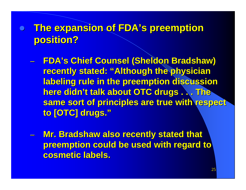# **• The expansion of FDA's preemption position? position?**

- **FDA's Chief Counsel (Sheldon Bradshaw) FDA's Chief Counsel (Sheldon Bradshaw) recently stated: "Although the physician labeling rule in the preemption discussion here didn't talk about OTC drugs . . . The here didn't talk about OTC drugs . . . The same sort of principles are true with respect same sort of principles are true with respect to [OTC] drugs." to [OTC] drugs."**
- –**Mr. Bradshaw also recently stated that preemption could be used with regard to cosmetic labels. cosmetic labels.**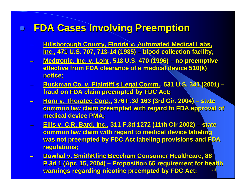## z **FDA Cases Involving Preemption FDA Cases Involving Preemption**

- **Hillsborough County, Florida v. Automated Medical Labs, Inc., 471 U.S. 707, 713 , 471 U.S. 707, 713-14 (1985) 14 (1985) – blood collection facility; blood collection facility;**
- **Medtronic, Inc. v. Lohr, 518 U.S. 470 (1996) no preemptive effective from FDA clearance effective from FDA clearance of a medical device 510(k) of a medical device 510(k) notice; notice;**
- **Buckman Buckman Co. v. Plaintiff's Le . v. Plaintiff's Legal Comm., 531 U.S. 341 (2001) U.S. 341 (2001) – fraud on FDA claim preempted by FDC Act;**
- – **Horn v. Horn v. Thoratec Thoratec Corp., 376 F.3d 163 (3rd Cir. 2004) , 376 F.3d 163 (3rd Cir. 2004) – state common law claim preempted with regard to FDA approval of medical device PMA; medical device PMA;**
- **Ellis v. C.R. Bard, Inc. Ellis v. C.R. Bard, Inc., 311 F.3d 1272 (11th Cir 2002) , 311 F.3d 1272 (11th Cir 2002) – state common law claim with regard to medical device labeling was not preempted by FDC Act labeling provisions and FDA was not preempted by FDC Act labeling provisions and FDA regulations;**
- 26 **Dowhal v. SmithKline SmithKline Beecham Consumer Healthcare Beecham Consumer Healthcare, 88 P.3d 1 (Apr. 15, 2004) – Proposition 65 requirement for health warnings regarding nicotine preempted by FDC Act;**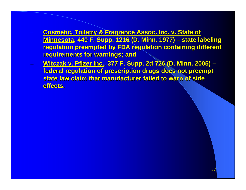- **Cosmetic, Toiletry & Fragrance Assoc. Inc. v. State of Minnesota Minnesota, 440 F. Supp. 1216 (D. Minn. 1977) , 440 F. Supp. 1216 (D. Minn. 1977) – state labeling state labeling regulation preempted by FDA regulation containing different requirements for warnings; and**
- **Witczak Witczak v. Pfizer Inc. v. Pfizer Inc., 377 F. Supp. 2d 726 (D. Minn. 2005) , 377 F. Supp. 2d 726 (D. Minn. 2005) – federal regulation of prescription drugs does not preempt state law claim that manufacturer failed to warn of side effects. effects.**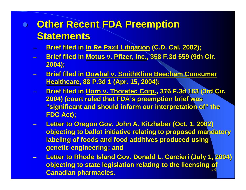# **• Other Recent FDA Preemption Statements Statements**

- **Brief filed in In Re Paxil Litigation (C.D. Cal. 2002);**
- **Brief filed in Motus v. Pfizer, Inc., 358 F.3d 659 (9th Cir. 2004);**
- **Brief filed in Brief filed in Dowhal v. SmithKline SmithKline Beecham Beecham Consumer Consumer Healthcare Healthcare, 88 P.3d 1 (Apr. 15, 2004); , 88 P.3d 1 (Apr. 15, 2004);**
- **Brief filed in Horn v. Thoratec Corp., 376 F.3d 163 (3rd Cir. 2004) (court ruled that FDA's preemption brief was "significant and should inform our interpretation of" the FDC Act); FDC Act);**
- –**Letter to Oregon Gov. John A. Kitzhaber (Oct. 1, 2002) objecting to ballot initiative relating to proposed mandatory labeling of foods and food additives produced using genetic engineering; and genetic engineering; and**
- 28**Letter to Rhode Island Gov. Donald L. Carcieri (July 1, 2004) <u>bjecting to state legislation relating to the licensing of</u> Canadian pharmacies. Canadian pharmacies.**